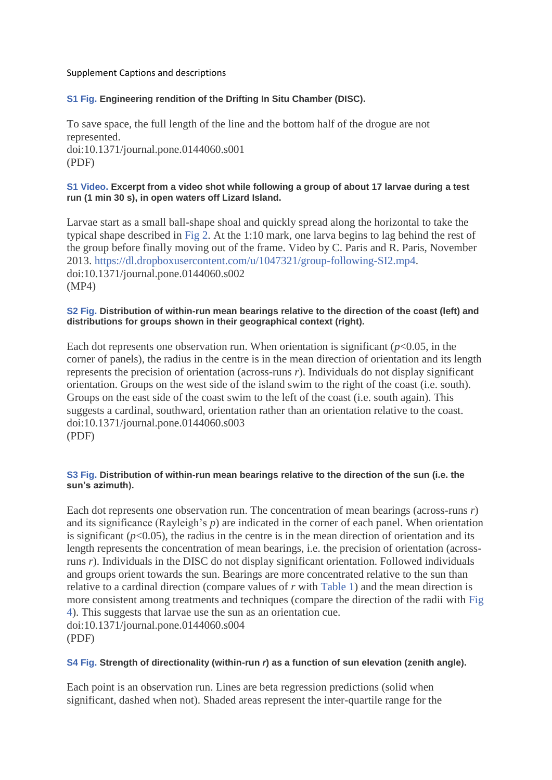### Supplement Captions and descriptions

# **[S1 Fig.](http://journals.plos.org/plosone/article/asset?unique&id=info:doi/10.1371/journal.pone.0144060.s001) Engineering rendition of the Drifting In Situ Chamber (DISC).**

To save space, the full length of the line and the bottom half of the drogue are not represented. doi:10.1371/journal.pone.0144060.s001 (PDF)

#### **[S1 Video.](http://journals.plos.org/plosone/article/asset?unique&id=info:doi/10.1371/journal.pone.0144060.s002) Excerpt from a video shot while following a group of about 17 larvae during a test run (1 min 30 s), in open waters off Lizard Island.**

Larvae start as a small ball-shape shoal and quickly spread along the horizontal to take the typical shape described in [Fig 2.](http://journals.plos.org/plosone/article?id=10.1371/journal.pone.0144060#pone-0144060-g002) At the 1:10 mark, one larva begins to lag behind the rest of the group before finally moving out of the frame. Video by C. Paris and R. Paris, November 2013. [https://dl.dropboxusercontent.com/u/1047321/group-following-SI2.mp4.](https://dl.dropboxusercontent.com/u/1047321/group-following-SI2.mp4) doi:10.1371/journal.pone.0144060.s002 (MP4)

### **[S2 Fig.](http://journals.plos.org/plosone/article/asset?unique&id=info:doi/10.1371/journal.pone.0144060.s003) Distribution of within-run mean bearings relative to the direction of the coast (left) and distributions for groups shown in their geographical context (right).**

Each dot represents one observation run. When orientation is significant  $(p<0.05$ , in the corner of panels), the radius in the centre is in the mean direction of orientation and its length represents the precision of orientation (across-runs *r*). Individuals do not display significant orientation. Groups on the west side of the island swim to the right of the coast (i.e. south). Groups on the east side of the coast swim to the left of the coast (i.e. south again). This suggests a cardinal, southward, orientation rather than an orientation relative to the coast. doi:10.1371/journal.pone.0144060.s003 (PDF)

### **[S3 Fig.](http://journals.plos.org/plosone/article/asset?unique&id=info:doi/10.1371/journal.pone.0144060.s004) Distribution of within-run mean bearings relative to the direction of the sun (i.e. the sun's azimuth).**

Each dot represents one observation run. The concentration of mean bearings (across-runs *r*) and its significance (Rayleigh's *p*) are indicated in the corner of each panel. When orientation is significant  $(p<0.05)$ , the radius in the centre is in the mean direction of orientation and its length represents the concentration of mean bearings, i.e. the precision of orientation (acrossruns *r*). Individuals in the DISC do not display significant orientation. Followed individuals and groups orient towards the sun. Bearings are more concentrated relative to the sun than relative to a cardinal direction (compare values of *r* with [Table 1\)](http://journals.plos.org/plosone/article?id=10.1371/journal.pone.0144060#pone-0144060-t001) and the mean direction is more consistent among treatments and techniques (compare the direction of the radii with [Fig](http://journals.plos.org/plosone/article?id=10.1371/journal.pone.0144060#pone-0144060-g004)  [4\)](http://journals.plos.org/plosone/article?id=10.1371/journal.pone.0144060#pone-0144060-g004). This suggests that larvae use the sun as an orientation cue. doi:10.1371/journal.pone.0144060.s004 (PDF)

# **[S4 Fig.](http://journals.plos.org/plosone/article/asset?unique&id=info:doi/10.1371/journal.pone.0144060.s005) Strength of directionality (within-run** *r***) as a function of sun elevation (zenith angle).**

Each point is an observation run. Lines are beta regression predictions (solid when significant, dashed when not). Shaded areas represent the inter-quartile range for the